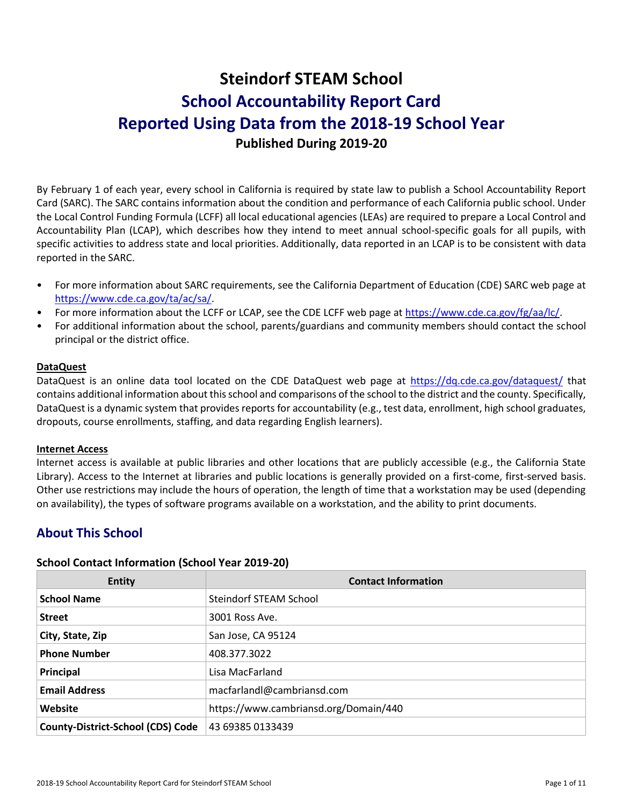# **Steindorf STEAM School School Accountability Report Card Reported Using Data from the 2018-19 School Year Published During 2019-20**

By February 1 of each year, every school in California is required by state law to publish a School Accountability Report Card (SARC). The SARC contains information about the condition and performance of each California public school. Under the Local Control Funding Formula (LCFF) all local educational agencies (LEAs) are required to prepare a Local Control and Accountability Plan (LCAP), which describes how they intend to meet annual school-specific goals for all pupils, with specific activities to address state and local priorities. Additionally, data reported in an LCAP is to be consistent with data reported in the SARC.

- For more information about SARC requirements, see the California Department of Education (CDE) SARC web page at [https://www.cde.ca.gov/ta/ac/sa/.](https://www.cde.ca.gov/ta/ac/sa/)
- For more information about the LCFF or LCAP, see the CDE LCFF web page at [https://www.cde.ca.gov/fg/aa/lc/.](https://www.cde.ca.gov/fg/aa/lc/)
- For additional information about the school, parents/guardians and community members should contact the school principal or the district office.

#### **DataQuest**

DataQuest is an online data tool located on the CDE DataQuest web page at<https://dq.cde.ca.gov/dataquest/> that contains additional information about this school and comparisons of the school to the district and the county. Specifically, DataQuest is a dynamic system that provides reports for accountability (e.g., test data, enrollment, high school graduates, dropouts, course enrollments, staffing, and data regarding English learners).

#### **Internet Access**

Internet access is available at public libraries and other locations that are publicly accessible (e.g., the California State Library). Access to the Internet at libraries and public locations is generally provided on a first-come, first-served basis. Other use restrictions may include the hours of operation, the length of time that a workstation may be used (depending on availability), the types of software programs available on a workstation, and the ability to print documents.

## **About This School**

#### **School Contact Information (School Year 2019-20)**

| <b>Entity</b>                            | <b>Contact Information</b>            |
|------------------------------------------|---------------------------------------|
| <b>School Name</b>                       | Steindorf STEAM School                |
| <b>Street</b>                            | 3001 Ross Ave.                        |
| City, State, Zip                         | San Jose, CA 95124                    |
| <b>Phone Number</b>                      | 408.377.3022                          |
| Principal                                | Lisa MacFarland                       |
| <b>Email Address</b>                     | macfarlandl@cambriansd.com            |
| Website                                  | https://www.cambriansd.org/Domain/440 |
| <b>County-District-School (CDS) Code</b> | 43 69385 0133439                      |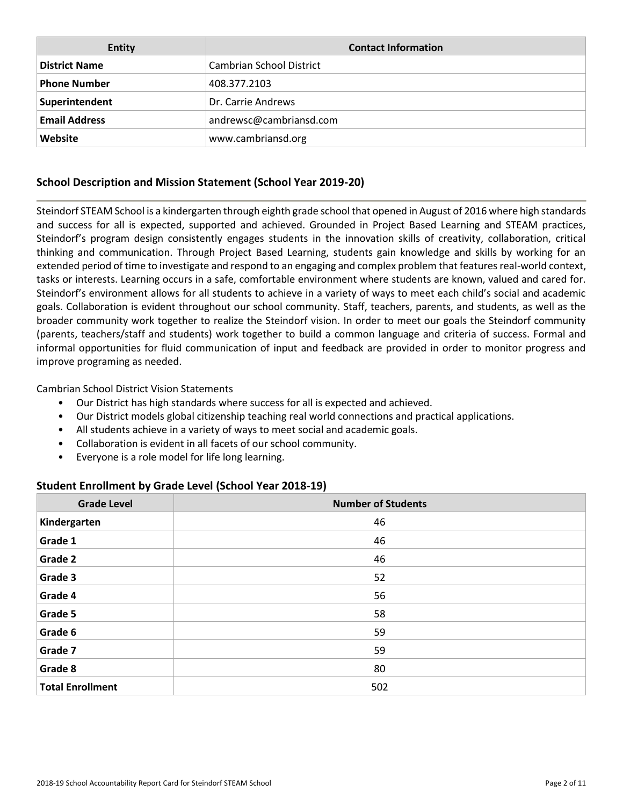| Entity               | <b>Contact Information</b> |
|----------------------|----------------------------|
| <b>District Name</b> | Cambrian School District   |
| <b>Phone Number</b>  | 408.377.2103               |
| Superintendent       | Dr. Carrie Andrews         |
| <b>Email Address</b> | andrewsc@cambriansd.com    |
| Website              | www.cambriansd.org         |

## **School Description and Mission Statement (School Year 2019-20)**

Steindorf STEAM School is a kindergarten through eighth grade school that opened in August of 2016 where high standards and success for all is expected, supported and achieved. Grounded in Project Based Learning and STEAM practices, Steindorf's program design consistently engages students in the innovation skills of creativity, collaboration, critical thinking and communication. Through Project Based Learning, students gain knowledge and skills by working for an extended period of time to investigate and respond to an engaging and complex problem that features real-world context, tasks or interests. Learning occurs in a safe, comfortable environment where students are known, valued and cared for. Steindorf's environment allows for all students to achieve in a variety of ways to meet each child's social and academic goals. Collaboration is evident throughout our school community. Staff, teachers, parents, and students, as well as the broader community work together to realize the Steindorf vision. In order to meet our goals the Steindorf community (parents, teachers/staff and students) work together to build a common language and criteria of success. Formal and informal opportunities for fluid communication of input and feedback are provided in order to monitor progress and improve programing as needed.

Cambrian School District Vision Statements

- Our District has high standards where success for all is expected and achieved.
- Our District models global citizenship teaching real world connections and practical applications.
- All students achieve in a variety of ways to meet social and academic goals.
- Collaboration is evident in all facets of our school community.
- Everyone is a role model for life long learning.

#### **Student Enrollment by Grade Level (School Year 2018-19)**

| <b>Grade Level</b>      | <b>Number of Students</b> |
|-------------------------|---------------------------|
| Kindergarten            | 46                        |
| Grade 1                 | 46                        |
| Grade 2                 | 46                        |
| Grade 3                 | 52                        |
| Grade 4                 | 56                        |
| Grade 5                 | 58                        |
| Grade 6                 | 59                        |
| Grade 7                 | 59                        |
| Grade 8                 | 80                        |
| <b>Total Enrollment</b> | 502                       |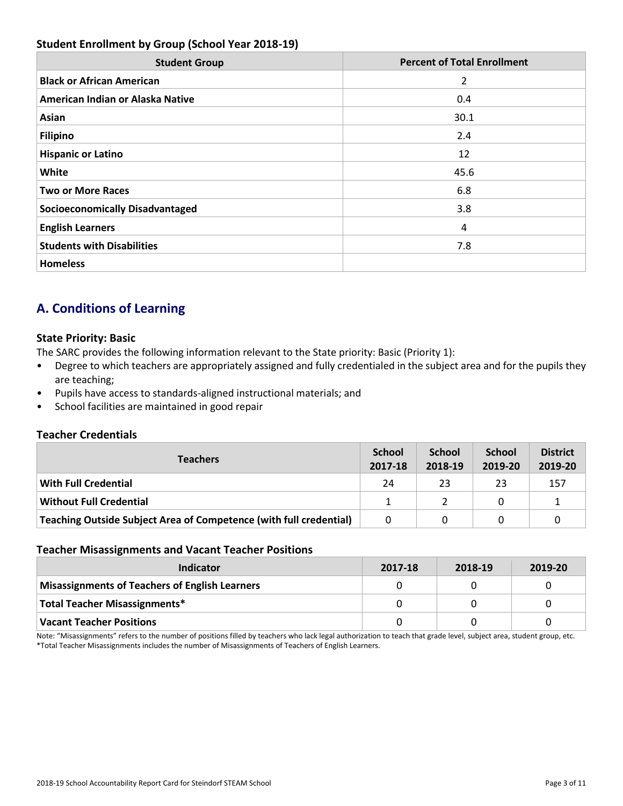## **Student Enrollment by Group (School Year 2018-19)**

| <b>Student Group</b>                   | <b>Percent of Total Enrollment</b> |
|----------------------------------------|------------------------------------|
| <b>Black or African American</b>       | 2                                  |
| American Indian or Alaska Native       | 0.4                                |
| Asian                                  | 30.1                               |
| <b>Filipino</b>                        | 2.4                                |
| <b>Hispanic or Latino</b>              | 12                                 |
| White                                  | 45.6                               |
| <b>Two or More Races</b>               | 6.8                                |
| <b>Socioeconomically Disadvantaged</b> | 3.8                                |
| <b>English Learners</b>                | 4                                  |
| <b>Students with Disabilities</b>      | 7.8                                |
| <b>Homeless</b>                        |                                    |

## **A. Conditions of Learning**

#### **State Priority: Basic**

The SARC provides the following information relevant to the State priority: Basic (Priority 1):

- Degree to which teachers are appropriately assigned and fully credentialed in the subject area and for the pupils they are teaching;
- Pupils have access to standards-aligned instructional materials; and
- School facilities are maintained in good repair

#### **Teacher Credentials**

| <b>Teachers</b>                                                    | <b>School</b><br>2017-18 | <b>School</b><br>2018-19 | <b>School</b><br>2019-20 | <b>District</b><br>2019-20 |
|--------------------------------------------------------------------|--------------------------|--------------------------|--------------------------|----------------------------|
| With Full Credential                                               | 24                       | 23                       | 23                       | 157                        |
| <b>Without Full Credential</b>                                     |                          |                          | <sup>0</sup>             |                            |
| Teaching Outside Subject Area of Competence (with full credential) | 0                        | 0                        |                          |                            |

#### **Teacher Misassignments and Vacant Teacher Positions**

| Indicator                                             | 2017-18 | 2018-19 | 2019-20 |
|-------------------------------------------------------|---------|---------|---------|
| <b>Misassignments of Teachers of English Learners</b> |         |         |         |
| Total Teacher Misassignments*                         |         |         |         |
| <b>Vacant Teacher Positions</b>                       |         |         |         |

Note: "Misassignments" refers to the number of positions filled by teachers who lack legal authorization to teach that grade level, subject area, student group, etc. \*Total Teacher Misassignments includes the number of Misassignments of Teachers of English Learners.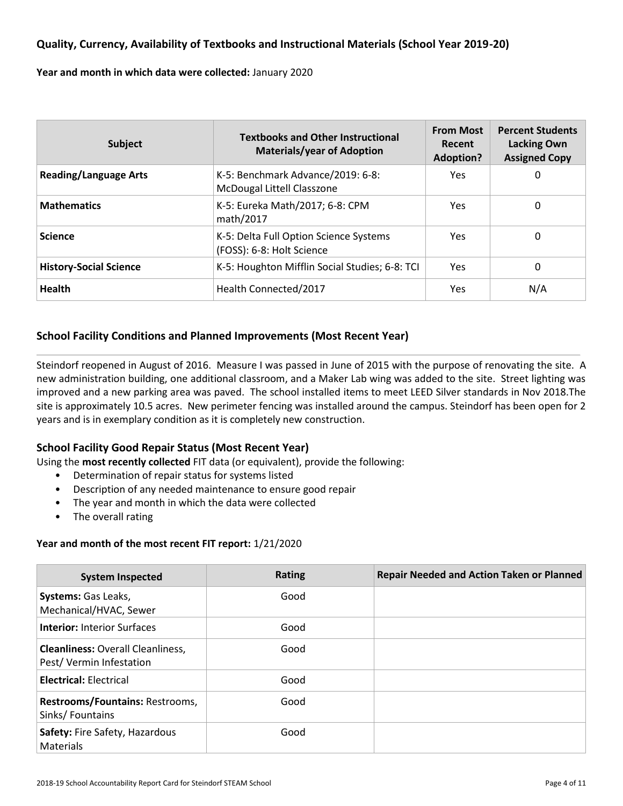## **Quality, Currency, Availability of Textbooks and Instructional Materials (School Year 2019-20)**

**Year and month in which data were collected:** January 2020

| <b>Subject</b>                | <b>Textbooks and Other Instructional</b><br><b>Materials/year of Adoption</b> | <b>From Most</b><br><b>Recent</b><br><b>Adoption?</b> | <b>Percent Students</b><br><b>Lacking Own</b><br><b>Assigned Copy</b> |
|-------------------------------|-------------------------------------------------------------------------------|-------------------------------------------------------|-----------------------------------------------------------------------|
| <b>Reading/Language Arts</b>  | K-5: Benchmark Advance/2019: 6-8:<br>McDougal Littell Classzone               | Yes.                                                  | 0                                                                     |
| <b>Mathematics</b>            | K-5: Eureka Math/2017; 6-8: CPM<br>math/2017                                  | Yes.                                                  | 0                                                                     |
| <b>Science</b>                | K-5: Delta Full Option Science Systems<br>(FOSS): 6-8: Holt Science           | Yes.                                                  | 0                                                                     |
| <b>History-Social Science</b> | K-5: Houghton Mifflin Social Studies; 6-8: TCI                                | Yes.                                                  | 0                                                                     |
| <b>Health</b>                 | Health Connected/2017                                                         | Yes.                                                  | N/A                                                                   |

#### **School Facility Conditions and Planned Improvements (Most Recent Year)**

Steindorf reopened in August of 2016. Measure I was passed in June of 2015 with the purpose of renovating the site. A new administration building, one additional classroom, and a Maker Lab wing was added to the site. Street lighting was improved and a new parking area was paved. The school installed items to meet LEED Silver standards in Nov 2018.The site is approximately 10.5 acres. New perimeter fencing was installed around the campus. Steindorf has been open for 2 years and is in exemplary condition as it is completely new construction.

#### **School Facility Good Repair Status (Most Recent Year)**

Using the **most recently collected** FIT data (or equivalent), provide the following:

- Determination of repair status for systems listed
- Description of any needed maintenance to ensure good repair
- The year and month in which the data were collected
- The overall rating

#### **Year and month of the most recent FIT report:** 1/21/2020

| <b>System Inspected</b>                                             | <b>Rating</b> | <b>Repair Needed and Action Taken or Planned</b> |
|---------------------------------------------------------------------|---------------|--------------------------------------------------|
| Systems: Gas Leaks,<br>Mechanical/HVAC, Sewer                       | Good          |                                                  |
| <b>Interior: Interior Surfaces</b>                                  | Good          |                                                  |
| <b>Cleanliness: Overall Cleanliness,</b><br>Pest/Vermin Infestation | Good          |                                                  |
| <b>Electrical: Electrical</b>                                       | Good          |                                                  |
| Restrooms/Fountains: Restrooms,<br>Sinks/Fountains                  | Good          |                                                  |
| Safety: Fire Safety, Hazardous<br><b>Materials</b>                  | Good          |                                                  |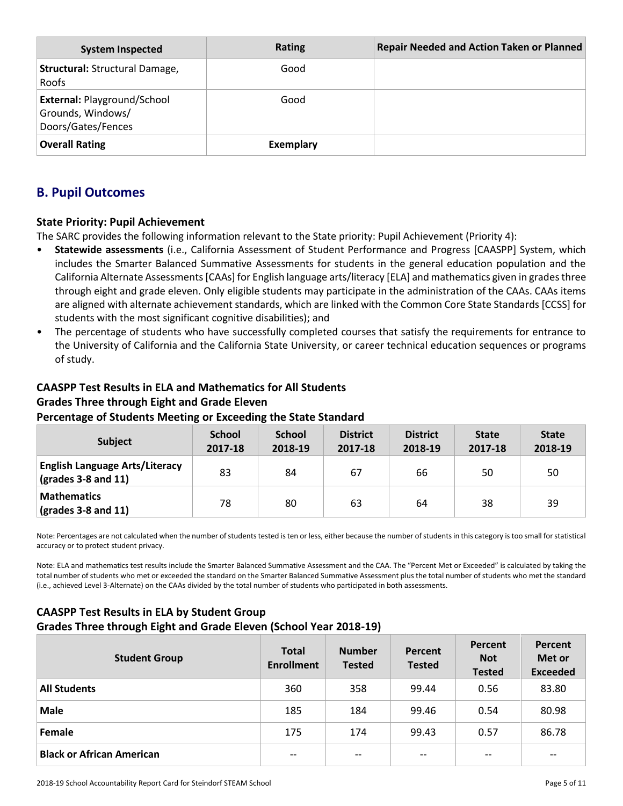| <b>System Inspected</b>                                                       | <b>Rating</b>    | <b>Repair Needed and Action Taken or Planned</b> |
|-------------------------------------------------------------------------------|------------------|--------------------------------------------------|
| Structural: Structural Damage,<br>Roofs                                       | Good             |                                                  |
| <b>External: Playground/School</b><br>Grounds, Windows/<br>Doors/Gates/Fences | Good             |                                                  |
| <b>Overall Rating</b>                                                         | <b>Exemplary</b> |                                                  |

## **B. Pupil Outcomes**

## **State Priority: Pupil Achievement**

The SARC provides the following information relevant to the State priority: Pupil Achievement (Priority 4):

- **Statewide assessments** (i.e., California Assessment of Student Performance and Progress [CAASPP] System, which includes the Smarter Balanced Summative Assessments for students in the general education population and the California Alternate Assessments [CAAs] for English language arts/literacy [ELA] and mathematics given in grades three through eight and grade eleven. Only eligible students may participate in the administration of the CAAs. CAAs items are aligned with alternate achievement standards, which are linked with the Common Core State Standards [CCSS] for students with the most significant cognitive disabilities); and
- The percentage of students who have successfully completed courses that satisfy the requirements for entrance to the University of California and the California State University, or career technical education sequences or programs of study.

## **CAASPP Test Results in ELA and Mathematics for All Students Grades Three through Eight and Grade Eleven Percentage of Students Meeting or Exceeding the State Standard**

| <b>Subject</b>                                                       | <b>School</b><br>2017-18 | <b>School</b><br>2018-19 | <b>District</b><br>2017-18 | <b>District</b><br>2018-19 | <b>State</b><br>2017-18 | <b>State</b><br>2018-19 |
|----------------------------------------------------------------------|--------------------------|--------------------------|----------------------------|----------------------------|-------------------------|-------------------------|
| <b>English Language Arts/Literacy</b><br>$\vert$ (grades 3-8 and 11) | 83                       | 84                       | 67                         | 66                         | 50                      | 50                      |
| <b>Mathematics</b><br>$\frac{1}{2}$ (grades 3-8 and 11)              | 78                       | 80                       | 63                         | 64                         | 38                      | -39                     |

Note: Percentages are not calculated when the number of students tested is ten or less, either because the number of students in this category is too small for statistical accuracy or to protect student privacy.

Note: ELA and mathematics test results include the Smarter Balanced Summative Assessment and the CAA. The "Percent Met or Exceeded" is calculated by taking the total number of students who met or exceeded the standard on the Smarter Balanced Summative Assessment plus the total number of students who met the standard (i.e., achieved Level 3-Alternate) on the CAAs divided by the total number of students who participated in both assessments.

## **CAASPP Test Results in ELA by Student Group Grades Three through Eight and Grade Eleven (School Year 2018-19)**

| <b>Student Group</b>             | <b>Total</b><br><b>Enrollment</b>     | <b>Number</b><br><b>Tested</b> | Percent<br><b>Tested</b>              | Percent<br><b>Not</b><br><b>Tested</b> | <b>Percent</b><br>Met or<br><b>Exceeded</b> |
|----------------------------------|---------------------------------------|--------------------------------|---------------------------------------|----------------------------------------|---------------------------------------------|
| <b>All Students</b>              | 360                                   | 358                            | 99.44                                 | 0.56                                   | 83.80                                       |
| <b>Male</b>                      | 185                                   | 184                            | 99.46                                 | 0.54                                   | 80.98                                       |
| Female                           | 175                                   | 174                            | 99.43                                 | 0.57                                   | 86.78                                       |
| <b>Black or African American</b> | $\hspace{0.05cm}$ – $\hspace{0.05cm}$ | $- -$                          | $\hspace{0.05cm}$ – $\hspace{0.05cm}$ | $\hspace{0.05cm}$ – $\hspace{0.05cm}$  | $- -$                                       |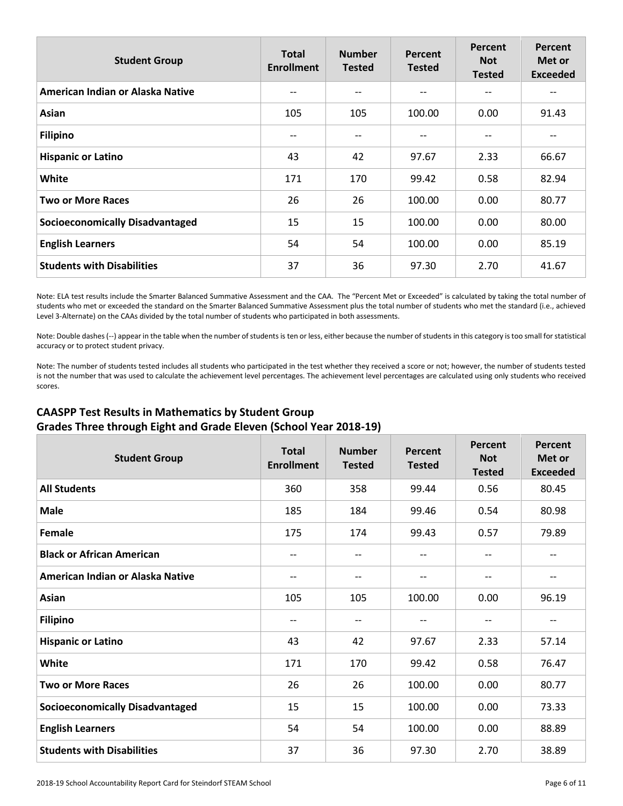| <b>Student Group</b>                   | <b>Total</b><br><b>Enrollment</b> | <b>Number</b><br><b>Tested</b> | Percent<br><b>Tested</b> | Percent<br><b>Not</b><br><b>Tested</b> | Percent<br>Met or<br><b>Exceeded</b> |
|----------------------------------------|-----------------------------------|--------------------------------|--------------------------|----------------------------------------|--------------------------------------|
| American Indian or Alaska Native       | --                                |                                | $- -$                    | --                                     |                                      |
| Asian                                  | 105                               | 105                            | 100.00                   | 0.00                                   | 91.43                                |
| <b>Filipino</b>                        | $- -$                             | $- -$                          | $- -$                    | --                                     | --                                   |
| <b>Hispanic or Latino</b>              | 43                                | 42                             | 97.67                    | 2.33                                   | 66.67                                |
| White                                  | 171                               | 170                            | 99.42                    | 0.58                                   | 82.94                                |
| <b>Two or More Races</b>               | 26                                | 26                             | 100.00                   | 0.00                                   | 80.77                                |
| <b>Socioeconomically Disadvantaged</b> | 15                                | 15                             | 100.00                   | 0.00                                   | 80.00                                |
| <b>English Learners</b>                | 54                                | 54                             | 100.00                   | 0.00                                   | 85.19                                |
| <b>Students with Disabilities</b>      | 37                                | 36                             | 97.30                    | 2.70                                   | 41.67                                |

Note: ELA test results include the Smarter Balanced Summative Assessment and the CAA. The "Percent Met or Exceeded" is calculated by taking the total number of students who met or exceeded the standard on the Smarter Balanced Summative Assessment plus the total number of students who met the standard (i.e., achieved Level 3-Alternate) on the CAAs divided by the total number of students who participated in both assessments.

Note: Double dashes (--) appear in the table when the number of students is ten or less, either because the number of students in this category is too small for statistical accuracy or to protect student privacy.

Note: The number of students tested includes all students who participated in the test whether they received a score or not; however, the number of students tested is not the number that was used to calculate the achievement level percentages. The achievement level percentages are calculated using only students who received scores.

## **CAASPP Test Results in Mathematics by Student Group Grades Three through Eight and Grade Eleven (School Year 2018-19)**

| <b>Student Group</b>                   | <b>Total</b><br><b>Enrollment</b> | <b>Number</b><br><b>Tested</b> | Percent<br><b>Tested</b> | <b>Percent</b><br><b>Not</b><br><b>Tested</b> | Percent<br>Met or<br><b>Exceeded</b> |
|----------------------------------------|-----------------------------------|--------------------------------|--------------------------|-----------------------------------------------|--------------------------------------|
| <b>All Students</b>                    | 360                               | 358                            | 99.44                    | 0.56                                          | 80.45                                |
| <b>Male</b>                            | 185                               | 184                            | 99.46                    | 0.54                                          | 80.98                                |
| Female                                 | 175                               | 174                            | 99.43                    | 0.57                                          | 79.89                                |
| <b>Black or African American</b>       | --                                | --                             | $\qquad \qquad -$        | --                                            |                                      |
| American Indian or Alaska Native       | --                                | --                             | $-\,-$                   | $-$                                           | --                                   |
| Asian                                  | 105                               | 105                            | 100.00                   | 0.00                                          | 96.19                                |
| <b>Filipino</b>                        | $-$                               | --                             | $-\,-$                   | $-$                                           | --                                   |
| <b>Hispanic or Latino</b>              | 43                                | 42                             | 97.67                    | 2.33                                          | 57.14                                |
| White                                  | 171                               | 170                            | 99.42                    | 0.58                                          | 76.47                                |
| <b>Two or More Races</b>               | 26                                | 26                             | 100.00                   | 0.00                                          | 80.77                                |
| <b>Socioeconomically Disadvantaged</b> | 15                                | 15                             | 100.00                   | 0.00                                          | 73.33                                |
| <b>English Learners</b>                | 54                                | 54                             | 100.00                   | 0.00                                          | 88.89                                |
| <b>Students with Disabilities</b>      | 37                                | 36                             | 97.30                    | 2.70                                          | 38.89                                |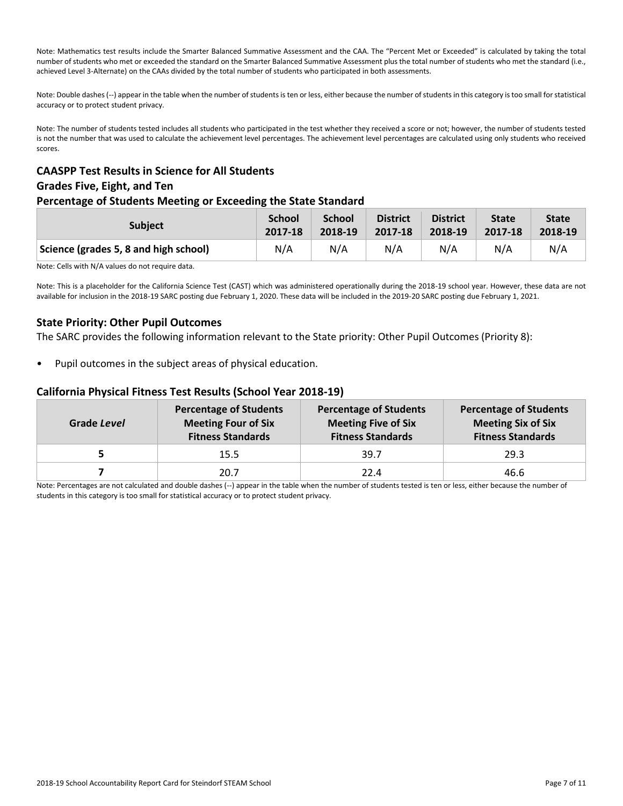Note: Mathematics test results include the Smarter Balanced Summative Assessment and the CAA. The "Percent Met or Exceeded" is calculated by taking the total number of students who met or exceeded the standard on the Smarter Balanced Summative Assessment plus the total number of students who met the standard (i.e., achieved Level 3-Alternate) on the CAAs divided by the total number of students who participated in both assessments.

Note: Double dashes (--) appear in the table when the number of students is ten or less, either because the number of students in this category is too small for statistical accuracy or to protect student privacy.

Note: The number of students tested includes all students who participated in the test whether they received a score or not; however, the number of students tested is not the number that was used to calculate the achievement level percentages. The achievement level percentages are calculated using only students who received scores.

## **CAASPP Test Results in Science for All Students Grades Five, Eight, and Ten**

## **Percentage of Students Meeting or Exceeding the State Standard**

| <b>Subject</b>                        | <b>School</b> | School  | <b>District</b> | <b>District</b> | <b>State</b> | <b>State</b> |
|---------------------------------------|---------------|---------|-----------------|-----------------|--------------|--------------|
|                                       | 2017-18       | 2018-19 | 2017-18         | 2018-19         | 2017-18      | 2018-19      |
| Science (grades 5, 8 and high school) | N/A           | N/A     | N/A             | N/A             | N/A          | N/A          |

Note: Cells with N/A values do not require data.

Note: This is a placeholder for the California Science Test (CAST) which was administered operationally during the 2018-19 school year. However, these data are not available for inclusion in the 2018-19 SARC posting due February 1, 2020. These data will be included in the 2019-20 SARC posting due February 1, 2021.

## **State Priority: Other Pupil Outcomes**

The SARC provides the following information relevant to the State priority: Other Pupil Outcomes (Priority 8):

Pupil outcomes in the subject areas of physical education.

#### **California Physical Fitness Test Results (School Year 2018-19)**

| Grade Level | <b>Percentage of Students</b><br><b>Meeting Four of Six</b><br><b>Fitness Standards</b> | <b>Percentage of Students</b><br><b>Meeting Five of Six</b><br><b>Fitness Standards</b> | <b>Percentage of Students</b><br><b>Meeting Six of Six</b><br><b>Fitness Standards</b> |
|-------------|-----------------------------------------------------------------------------------------|-----------------------------------------------------------------------------------------|----------------------------------------------------------------------------------------|
|             | 15.5                                                                                    | 39.7                                                                                    | 29.3                                                                                   |
|             | 20.7                                                                                    | 22.4                                                                                    | 46.6                                                                                   |

Note: Percentages are not calculated and double dashes (--) appear in the table when the number of students tested is ten or less, either because the number of students in this category is too small for statistical accuracy or to protect student privacy.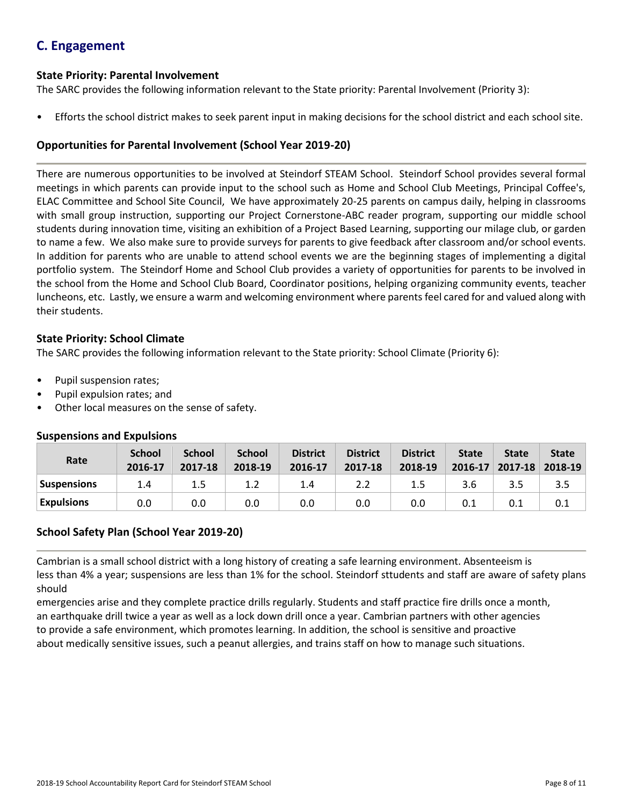## **C. Engagement**

#### **State Priority: Parental Involvement**

The SARC provides the following information relevant to the State priority: Parental Involvement (Priority 3):

• Efforts the school district makes to seek parent input in making decisions for the school district and each school site.

## **Opportunities for Parental Involvement (School Year 2019-20)**

There are numerous opportunities to be involved at Steindorf STEAM School. Steindorf School provides several formal meetings in which parents can provide input to the school such as Home and School Club Meetings, Principal Coffee's, ELAC Committee and School Site Council, We have approximately 20-25 parents on campus daily, helping in classrooms with small group instruction, supporting our Project Cornerstone-ABC reader program, supporting our middle school students during innovation time, visiting an exhibition of a Project Based Learning, supporting our milage club, or garden to name a few. We also make sure to provide surveys for parents to give feedback after classroom and/or school events. In addition for parents who are unable to attend school events we are the beginning stages of implementing a digital portfolio system. The Steindorf Home and School Club provides a variety of opportunities for parents to be involved in the school from the Home and School Club Board, Coordinator positions, helping organizing community events, teacher luncheons, etc. Lastly, we ensure a warm and welcoming environment where parents feel cared for and valued along with their students.

#### **State Priority: School Climate**

The SARC provides the following information relevant to the State priority: School Climate (Priority 6):

- Pupil suspension rates;
- Pupil expulsion rates; and
- Other local measures on the sense of safety.

| Rate               | <b>School</b><br>2016-17 | <b>School</b><br>2017-18 | <b>School</b><br>2018-19 | <b>District</b><br>2016-17 | <b>District</b><br>2017-18 | <b>District</b><br>2018-19 | <b>State</b><br>$2016 - 17$ | <b>State</b><br>$2017 - 18$ | <b>State</b><br>2018-19 |
|--------------------|--------------------------|--------------------------|--------------------------|----------------------------|----------------------------|----------------------------|-----------------------------|-----------------------------|-------------------------|
| <b>Suspensions</b> | 1.4                      | 1.5                      | 1.2                      | 1.4                        | 2.2                        | 1.5                        | 3.6                         | 3.5                         | 3.5                     |
| <b>Expulsions</b>  | 0.0                      | 0.0                      | 0.0                      | 0.0                        | 0.0                        | 0.0                        | 0.1                         | 0.1                         | 0.1                     |

#### **Suspensions and Expulsions**

## **School Safety Plan (School Year 2019-20)**

Cambrian is a small school district with a long history of creating a safe learning environment. Absenteeism is less than 4% a year; suspensions are less than 1% for the school. Steindorf sttudents and staff are aware of safety plans should

emergencies arise and they complete practice drills regularly. Students and staff practice fire drills once a month, an earthquake drill twice a year as well as a lock down drill once a year. Cambrian partners with other agencies to provide a safe environment, which promotes learning. In addition, the school is sensitive and proactive about medically sensitive issues, such a peanut allergies, and trains staff on how to manage such situations.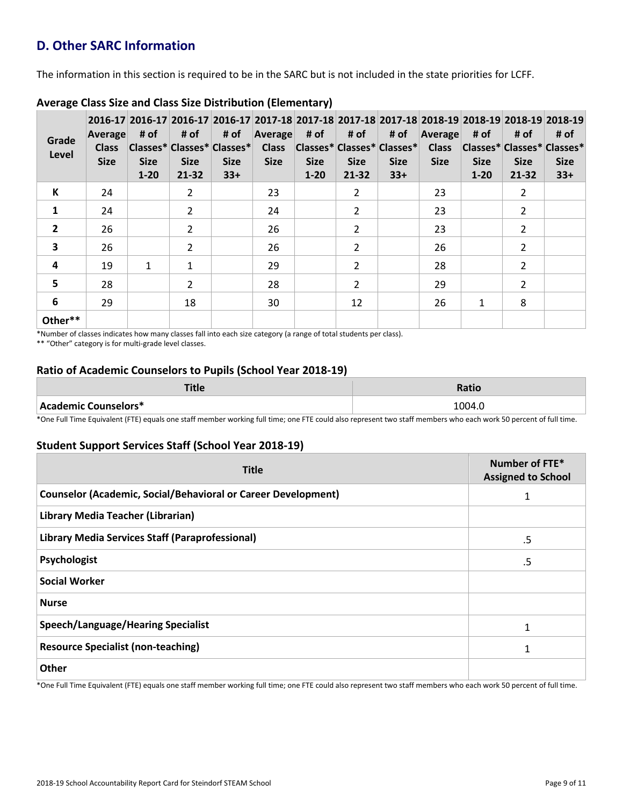## **D. Other SARC Information**

The information in this section is required to be in the SARC but is not included in the state priorities for LCFF.

| Grade<br>Level          | <b>Average</b><br><b>Class</b><br><b>Size</b> | # of<br><b>Size</b><br>$1 - 20$ | # of<br>Classes* Classes* Classes*<br><b>Size</b><br>21-32 | # of<br><b>Size</b><br>$33+$ | Average<br><b>Size</b> | # of<br><b>Size</b><br>$1 - 20$ | # of<br>Class Classes* Classes* Classes*<br><b>Size</b><br>21-32 | # of<br><b>Size</b><br>$33+$ | Average<br><b>Class</b><br><b>Size</b> | # of<br><b>Size</b><br>$1 - 20$ | # of<br><b>Size</b><br>21-32 | 2016-17 2016-17 2016-17 2016-17 2017-18 2017-18 2017-18 2017-18 2017-18 2018-19 2018-19 2018-19 2018-19<br># of<br> Classes* Classes* Classes*<br><b>Size</b><br>$33+$ |
|-------------------------|-----------------------------------------------|---------------------------------|------------------------------------------------------------|------------------------------|------------------------|---------------------------------|------------------------------------------------------------------|------------------------------|----------------------------------------|---------------------------------|------------------------------|------------------------------------------------------------------------------------------------------------------------------------------------------------------------|
| К                       | 24                                            |                                 | $\overline{2}$                                             |                              | 23                     |                                 | $\overline{2}$                                                   |                              | 23                                     |                                 | $\overline{2}$               |                                                                                                                                                                        |
| $\mathbf{1}$            | 24                                            |                                 | $\overline{2}$                                             |                              | 24                     |                                 | $\overline{2}$                                                   |                              | 23                                     |                                 | 2                            |                                                                                                                                                                        |
| $\overline{2}$          | 26                                            |                                 | $\overline{2}$                                             |                              | 26                     |                                 | $\overline{2}$                                                   |                              | 23                                     |                                 | $\overline{2}$               |                                                                                                                                                                        |
| $\overline{\mathbf{3}}$ | 26                                            |                                 | $\overline{2}$                                             |                              | 26                     |                                 | $\overline{2}$                                                   |                              | 26                                     |                                 | $\overline{2}$               |                                                                                                                                                                        |
| 4                       | 19                                            | $\mathbf{1}$                    | $\mathbf{1}$                                               |                              | 29                     |                                 | $\overline{2}$                                                   |                              | 28                                     |                                 | 2                            |                                                                                                                                                                        |
| 5                       | 28                                            |                                 | $\mathcal{L}$                                              |                              | 28                     |                                 | $\overline{2}$                                                   |                              | 29                                     |                                 | 2                            |                                                                                                                                                                        |
| 6                       | 29                                            |                                 | 18                                                         |                              | 30                     |                                 | 12                                                               |                              | 26                                     | $\mathbf{1}$                    | 8                            |                                                                                                                                                                        |
| Other**                 |                                               |                                 |                                                            |                              |                        |                                 |                                                                  |                              |                                        |                                 |                              |                                                                                                                                                                        |

## **Average Class Size and Class Size Distribution (Elementary)**

\*Number of classes indicates how many classes fall into each size category (a range of total students per class).

\*\* "Other" category is for multi-grade level classes.

## **Ratio of Academic Counselors to Pupils (School Year 2018-19)**

| ┳:⊥<br>чис           | Ratio  |
|----------------------|--------|
| Academic Counselors* | 1004.0 |

\*One Full Time Equivalent (FTE) equals one staff member working full time; one FTE could also represent two staff members who each work 50 percent of full time.

## **Student Support Services Staff (School Year 2018-19)**

| <b>Title</b>                                                         | Number of FTE*<br><b>Assigned to School</b> |
|----------------------------------------------------------------------|---------------------------------------------|
| <b>Counselor (Academic, Social/Behavioral or Career Development)</b> | 1                                           |
| Library Media Teacher (Librarian)                                    |                                             |
| Library Media Services Staff (Paraprofessional)                      | .5                                          |
| Psychologist                                                         | .5                                          |
| <b>Social Worker</b>                                                 |                                             |
| <b>Nurse</b>                                                         |                                             |
| <b>Speech/Language/Hearing Specialist</b>                            | $\mathbf{1}$                                |
| <b>Resource Specialist (non-teaching)</b>                            | 1                                           |
| Other                                                                |                                             |

\*One Full Time Equivalent (FTE) equals one staff member working full time; one FTE could also represent two staff members who each work 50 percent of full time.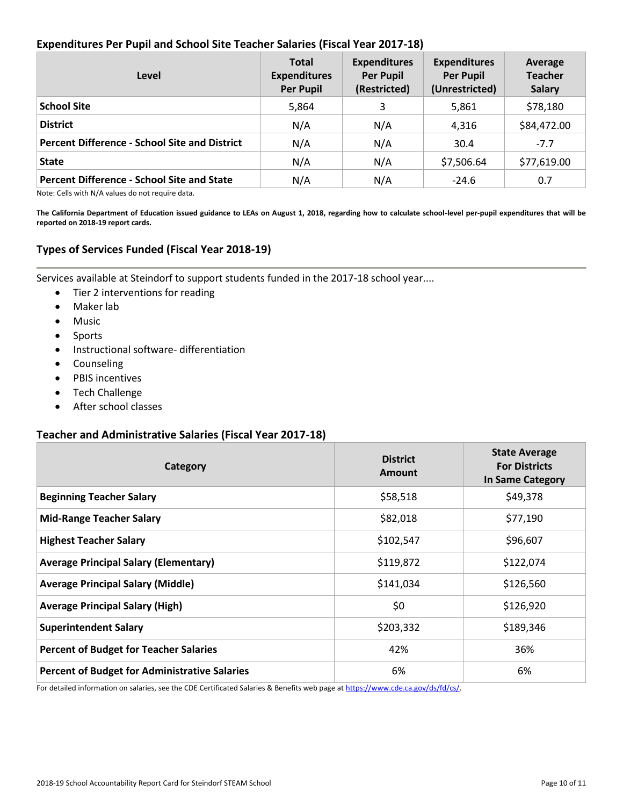## **Expenditures Per Pupil and School Site Teacher Salaries (Fiscal Year 2017-18)**

| Level                                                | <b>Total</b><br><b>Expenditures</b><br><b>Per Pupil</b> | <b>Expenditures</b><br><b>Per Pupil</b><br>(Restricted) | <b>Expenditures</b><br><b>Per Pupil</b><br>(Unrestricted) | Average<br><b>Teacher</b><br><b>Salary</b> |
|------------------------------------------------------|---------------------------------------------------------|---------------------------------------------------------|-----------------------------------------------------------|--------------------------------------------|
| <b>School Site</b>                                   | 5,864                                                   |                                                         | 5,861                                                     | \$78,180                                   |
| <b>District</b>                                      | N/A                                                     | N/A                                                     | 4,316                                                     | \$84,472.00                                |
| <b>Percent Difference - School Site and District</b> | N/A                                                     | N/A                                                     | 30.4                                                      | $-7.7$                                     |
| <b>State</b>                                         | N/A                                                     | N/A                                                     | \$7,506.64                                                | \$77,619.00                                |
| <b>Percent Difference - School Site and State</b>    | N/A                                                     | N/A                                                     | $-24.6$                                                   | 0.7                                        |

Note: Cells with N/A values do not require data.

**The California Department of Education issued guidance to LEAs on August 1, 2018, regarding how to calculate school-level per-pupil expenditures that will be reported on 2018-19 report cards.**

## **Types of Services Funded (Fiscal Year 2018-19)**

Services available at Steindorf to support students funded in the 2017-18 school year....

- Tier 2 interventions for reading
- Maker lab
- Music
- Sports
- Instructional software- differentiation
- Counseling
- PBIS incentives
- Tech Challenge
- After school classes

#### **Teacher and Administrative Salaries (Fiscal Year 2017-18)**

| Category                                             | <b>District</b><br><b>Amount</b> | <b>State Average</b><br><b>For Districts</b><br>In Same Category |
|------------------------------------------------------|----------------------------------|------------------------------------------------------------------|
| <b>Beginning Teacher Salary</b>                      | \$58,518                         | \$49,378                                                         |
| <b>Mid-Range Teacher Salary</b>                      | \$82,018                         | \$77,190                                                         |
| <b>Highest Teacher Salary</b>                        | \$102,547                        | \$96,607                                                         |
| <b>Average Principal Salary (Elementary)</b>         | \$119,872                        | \$122,074                                                        |
| <b>Average Principal Salary (Middle)</b>             | \$141,034                        | \$126,560                                                        |
| <b>Average Principal Salary (High)</b>               | \$0                              | \$126,920                                                        |
| <b>Superintendent Salary</b>                         | \$203,332                        | \$189,346                                                        |
| <b>Percent of Budget for Teacher Salaries</b>        | 42%                              | 36%                                                              |
| <b>Percent of Budget for Administrative Salaries</b> | 6%                               | 6%                                                               |

For detailed information on salaries, see the CDE Certificated Salaries & Benefits web page at [https://www.cde.ca.gov/ds/fd/cs/.](http://www.cde.ca.gov/ds/fd/cs/)